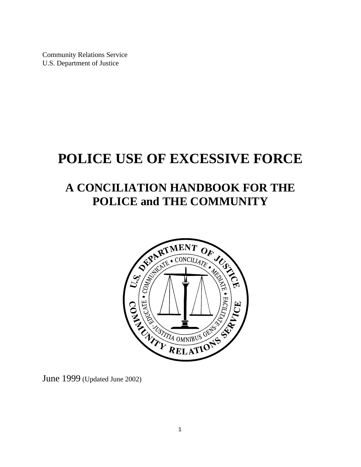Community Relations Service U.S. Department of Justice

# **POLICE USE OF EXCESSIVE FORCE**

# **A CONCILIATION HANDBOOK FOR THE POLICE and THE COMMUNITY**



June 1999 (Updated June 2002)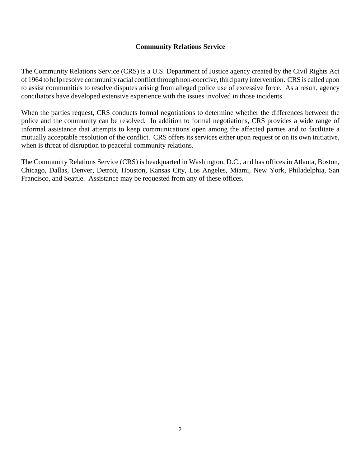## **Community Relations Service**

The Community Relations Service (CRS) is a U.S. Department of Justice agency created by the Civil Rights Act of 1964 to help resolve communityracial conflict through non-coercive, third party intervention. CRS is called upon to assist communities to resolve disputes arising from alleged police use of excessive force. As a result, agency conciliators have developed extensive experience with the issues involved in those incidents.

When the parties request, CRS conducts formal negotiations to determine whether the differences between the police and the community can be resolved. In addition to formal negotiations, CRS provides a wide range of informal assistance that attempts to keep communications open among the affected parties and to facilitate a mutually acceptable resolution of the conflict. CRS offers its services either upon request or on its own initiative, when is threat of disruption to peaceful community relations.

The Community Relations Service (CRS) is headquarted in Washington, D.C., and has offices in Atlanta, Boston, Chicago, Dallas, Denver, Detroit, Houston, Kansas City, Los Angeles, Miami, New York, Philadelphia, San Francisco, and Seattle. Assistance may be requested from any of these offices.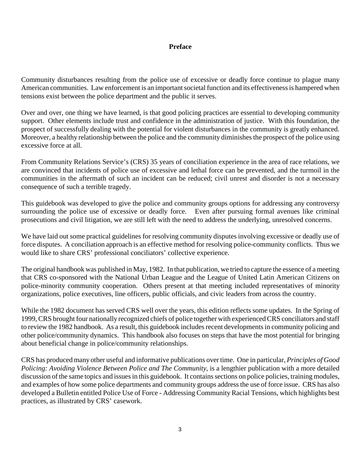### **Preface**

Community disturbances resulting from the police use of excessive or deadly force continue to plague many American communities. Law enforcement is an important societal function and its effectiveness is hampered when tensions exist between the police department and the public it serves.

Over and over, one thing we have learned, is that good policing practices are essential to developing community support. Other elements include trust and confidence in the administration of justice. With this foundation, the prospect of successfully dealing with the potential for violent disturbances in the community is greatly enhanced. Moreover, a healthy relationship between the police and the community diminishes the prospect of the police using excessive force at all.

From Community Relations Service's (CRS) 35 years of conciliation experience in the area of race relations, we are convinced that incidents of police use of excessive and lethal force can be prevented, and the turmoil in the communities in the aftermath of such an incident can be reduced; civil unrest and disorder is not a necessary consequence of such a terrible tragedy.

This guidebook was developed to give the police and community groups options for addressing any controversy surrounding the police use of excessive or deadly force. Even after pursuing formal avenues like criminal prosecutions and civil litigation, we are still left with the need to address the underlying, unresolved concerns.

We have laid out some practical guidelines for resolving community disputes involving excessive or deadly use of force disputes. A conciliation approach is an effective method for resolving police-community conflicts. Thus we would like to share CRS' professional conciliators' collective experience.

The original handbook was published in May, 1982. In that publication, we tried to capture the essence of a meeting that CRS co-sponsored with the National Urban League and the League of United Latin American Citizens on police-minority community cooperation. Others present at that meeting included representatives of minority organizations, police executives, line officers, public officials, and civic leaders from across the country.

While the 1982 document has served CRS well over the years, this edition reflects some updates. In the Spring of 1999, CRS brought four nationally recognized chiefs of police together with experiencedCRS conciliators and staff to review the 1982 handbook. As a result, this guidebook includes recent developments in community policing and other police/community dynamics. This handbook also focuses on steps that have the most potential for bringing about beneficial change in police/community relationships.

CRS has produced many other useful and informative publications over time. One in particular, *Principles of Good Policing: Avoiding Violence Between Police and The Community*, is a lengthier publication with a more detailed discussion of the same topics and issues in this guidebook. It contains sections on police policies, training modules, and examples of how some police departments and community groups address the use of force issue. CRS has also developed a Bulletin entitled Police Use of Force - Addressing Community Racial Tensions, which highlights best practices, as illustrated by CRS' casework.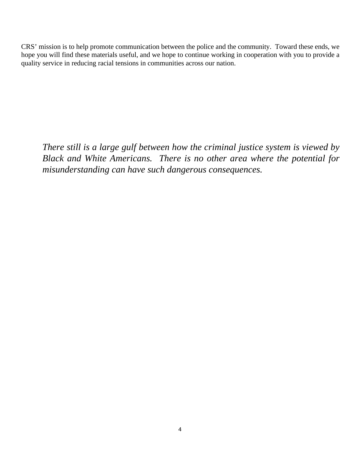CRS' mission is to help promote communication between the police and the community. Toward these ends, we hope you will find these materials useful, and we hope to continue working in cooperation with you to provide a quality service in reducing racial tensions in communities across our nation.

*There still is a large gulf between how the criminal justice system is viewed by Black and White Americans. There is no other area where the potential for misunderstanding can have such dangerous consequences.*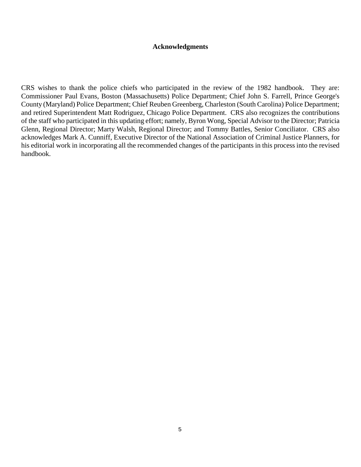#### **Acknowledgments**

CRS wishes to thank the police chiefs who participated in the review of the 1982 handbook. They are: Commissioner Paul Evans, Boston (Massachusetts) Police Department; Chief John S. Farrell, Prince George's County (Maryland) Police Department; Chief Reuben Greenberg, Charleston (South Carolina) Police Department; and retired Superintendent Matt Rodriguez, Chicago Police Department. CRS also recognizes the contributions of the staff who participated in this updating effort; namely, Byron Wong, Special Advisor to the Director; Patricia Glenn, Regional Director; Marty Walsh, Regional Director; and Tommy Battles, Senior Conciliator. CRS also acknowledges Mark A. Cunniff, Executive Director of the National Association of Criminal Justice Planners, for his editorial work in incorporating all the recommended changes of the participants in this process into the revised handbook.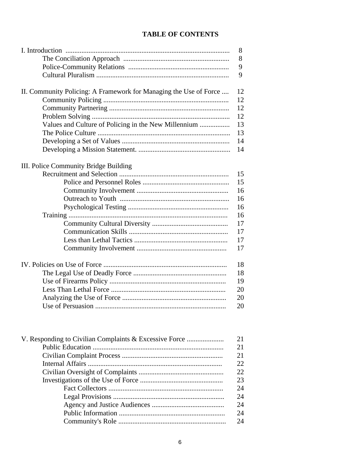# **TABLE OF CONTENTS**

|                                                                   | 8  |
|-------------------------------------------------------------------|----|
|                                                                   | 8  |
|                                                                   | 9  |
|                                                                   | 9  |
| II. Community Policing: A Framework for Managing the Use of Force | 12 |
|                                                                   | 12 |
|                                                                   | 12 |
|                                                                   | 12 |
| Values and Culture of Policing in the New Millennium              | 13 |
|                                                                   | 13 |
|                                                                   | 14 |
|                                                                   | 14 |
| III. Police Community Bridge Building                             |    |
|                                                                   | 15 |
|                                                                   | 15 |
|                                                                   | 16 |
|                                                                   | 16 |
|                                                                   | 16 |
|                                                                   | 16 |
|                                                                   | 17 |
|                                                                   | 17 |
|                                                                   | 17 |
|                                                                   | 17 |
|                                                                   |    |
|                                                                   | 18 |
|                                                                   | 18 |
|                                                                   | 19 |
|                                                                   | 20 |
|                                                                   | 20 |
|                                                                   | 20 |
|                                                                   |    |
| V. Responding to Civilian Complaints & Excessive Force            | 21 |
|                                                                   | 21 |

|  | 21 |
|--|----|
|  | 21 |
|  | 22 |
|  | 22 |
|  | 23 |
|  | 24 |
|  | 24 |
|  | 24 |
|  | 24 |
|  | 24 |
|  |    |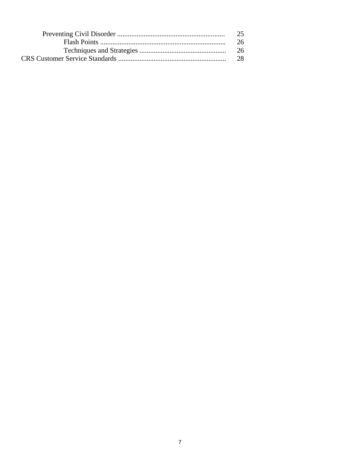| 25. |
|-----|
| 26. |
|     |
| 28. |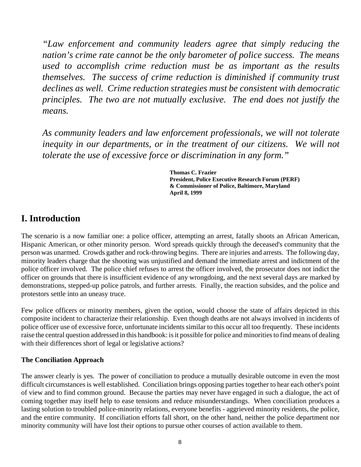*"Law enforcement and community leaders agree that simply reducing the nation's crime rate cannot be the only barometer of police success. The means used to accomplish crime reduction must be as important as the results themselves. The success of crime reduction is diminished if community trust declines as well. Crime reduction strategies must be consistent with democratic principles. The two are not mutually exclusive. The end does not justify the means.* 

*As community leaders and law enforcement professionals, we will not tolerate inequity in our departments, or in the treatment of our citizens. We will not tolerate the use of excessive force or discrimination in any form."* 

> **Thomas C. Frazier President, Police Executive Research Forum (PERF) & Commissioner of Police, Baltimore, Maryland April 8, 1999**

# **I. Introduction**

The scenario is a now familiar one: a police officer, attempting an arrest, fatally shoots an African American, Hispanic American, or other minority person. Word spreads quickly through the deceased's community that the person was unarmed. Crowds gather and rock-throwing begins. There are injuries and arrests. The following day, minority leaders charge that the shooting was unjustified and demand the immediate arrest and indictment of the police officer involved. The police chief refuses to arrest the officer involved, the prosecutor does not indict the officer on grounds that there is insufficient evidence of any wrongdoing, and the next several days are marked by demonstrations, stepped-up police patrols, and further arrests. Finally, the reaction subsides, and the police and protestors settle into an uneasy truce.

Few police officers or minority members, given the option, would choose the state of affairs depicted in this composite incident to characterize their relationship. Even though deaths are not always involved in incidents of police officer use of excessive force, unfortunate incidents similar to this occur all too frequently. These incidents raise the central question addressed in this handbook: is it possible for police and minorities to find means of dealing with their differences short of legal or legislative actions?

# **The Conciliation Approach**

The answer clearly is yes. The power of conciliation to produce a mutually desirable outcome in even the most difficult circumstances is well established. Conciliation brings opposing parties together to hear each other's point of view and to find common ground. Because the parties may never have engaged in such a dialogue, the act of coming together may itself help to ease tensions and reduce misunderstandings. When conciliation produces a lasting solution to troubled police-minority relations, everyone benefits - aggrieved minority residents, the police, and the entire community. If conciliation efforts fall short, on the other hand, neither the police department nor minority community will have lost their options to pursue other courses of action available to them.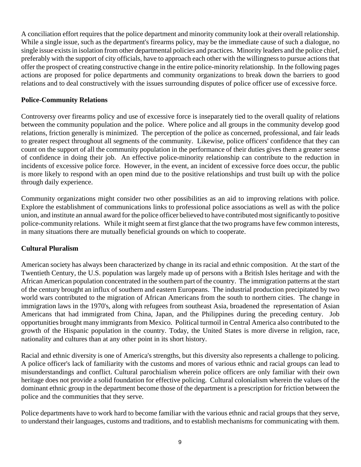A conciliation effort requires that the police department and minority community look at their overall relationship. While a single issue, such as the department's firearms policy, may be the immediate cause of such a dialogue, no single issue exists in isolation from other departmental policies and practices. Minority leaders and the police chief, preferably with the support of city officials, have to approach each other with the willingness to pursue actions that offer the prospect of creating constructive change in the entire police-minority relationship. In the following pages actions are proposed for police departments and community organizations to break down the barriers to good relations and to deal constructively with the issues surrounding disputes of police officer use of excessive force.

# **Police-Community Relations**

Controversy over firearms policy and use of excessive force is inseparately tied to the overall quality of relations between the community population and the police. Where police and all groups in the community develop good relations, friction generally is minimized. The perception of the police as concerned, professional, and fair leads to greater respect throughout all segments of the community. Likewise, police officers' confidence that they can count on the support of all the community population in the performance of their duties gives them a greater sense of confidence in doing their job. An effective police-minority relationship can contribute to the reduction in incidents of excessive police force. However, in the event, an incident of excessive force does occur, the public is more likely to respond with an open mind due to the positive relationships and trust built up with the police through daily experience.

Community organizations might consider two other possibilities as an aid to improving relations with police. Explore the establishment of communications links to professional police associations as well as with the police union, and institute an annual award for the police officer believed to have contributed mostsignificantly to positive police-community relations. While it might seem at first glance that the two programs have few common interests, in many situations there are mutually beneficial grounds on which to cooperate.

# **Cultural Pluralism**

American society has always been characterized by change in its racial and ethnic composition. At the start of the Twentieth Century, the U.S. population was largely made up of persons with a British Isles heritage and with the African American population concentrated in the southern part of the country. The immigration patterns at the start of the century brought an influx of southern and eastern Europeans. The industrial production precipitated by two world wars contributed to the migration of African Americans from the south to northern cities. The change in immigration laws in the 1970's, along with refugees from southeast Asia, broadened the representation of Asian Americans that had immigrated from China, Japan, and the Philippines during the preceding century. Job opportunities brought many immigrants from Mexico. Political turmoil in Central America also contributed to the growth of the Hispanic population in the country. Today, the United States is more diverse in religion, race, nationality and cultures than at any other point in its short history.

Racial and ethnic diversity is one of America's strengths, but this diversity also represents a challenge to policing. A police officer's lack of familiarity with the customs and mores of various ethnic and racial groups can lead to misunderstandings and conflict. Cultural parochialism wherein police officers are only familiar with their own heritage does not provide a solid foundation for effective policing. Cultural colonialism wherein the values of the dominant ethnic group in the department become those of the department is a prescription for friction between the police and the communities that they serve.

Police departments have to work hard to become familiar with the various ethnic and racial groups that they serve, to understand their languages, customs and traditions, and to establish mechanisms for communicating with them.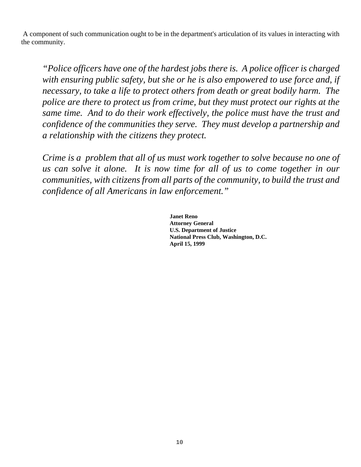A component of such communication ought to be in the department's articulation of its values in interacting with the community.

*"Police officers have one of the hardest jobs there is. A police officer is charged with ensuring public safety, but she or he is also empowered to use force and, if necessary, to take a life to protect others from death or great bodily harm. The police are there to protect us from crime, but they must protect our rights at the same time. And to do their work effectively, the police must have the trust and confidence of the communities they serve. They must develop a partnership and a relationship with the citizens they protect.* 

*Crime is a problem that all of us must work together to solve because no one of us can solve it alone. It is now time for all of us to come together in our communities, with citizens from all parts of the community, to build the trust and confidence of all Americans in law enforcement."* 

> **Janet Reno Attorney General U.S. Department of Justice National Press Club, Washington, D.C. April 15, 1999**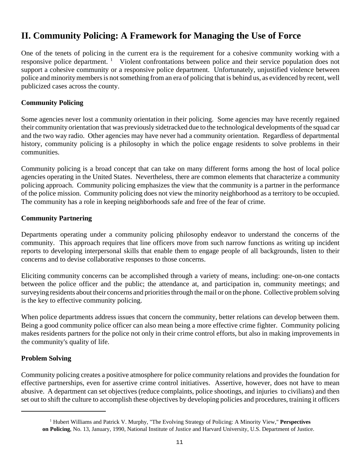# **II. Community Policing: A Framework for Managing the Use of Force**

One of the tenets of policing in the current era is the requirement for a cohesive community working with a responsive police department.<sup>1</sup> Violent confrontations between police and their service population does not support a cohesive community or a responsive police department. Unfortunately, unjustified violence between police and minority members is not something from an era of policing that is behind us, as evidenced by recent, well publicized cases across the county.

# **Community Policing**

Some agencies never lost a community orientation in their policing. Some agencies may have recently regained their community orientation that was previously sidetracked due to the technological developments of the squad car and the two way radio. Other agencies may have never had a community orientation. Regardless of departmental history, community policing is a philosophy in which the police engage residents to solve problems in their communities.

Community policing is a broad concept that can take on many different forms among the host of local police agencies operating in the United States. Nevertheless, there are common elements that characterize a community policing approach. Community policing emphasizes the view that the community is a partner in the performance of the police mission. Community policing does not view the minority neighborhood as a territory to be occupied. The community has a role in keeping neighborhoods safe and free of the fear of crime.

### **Community Partnering**

Departments operating under a community policing philosophy endeavor to understand the concerns of the community. This approach requires that line officers move from such narrow functions as writing up incident reports to developing interpersonal skills that enable them to engage people of all backgrounds, listen to their concerns and to devise collaborative responses to those concerns.

Eliciting community concerns can be accomplished through a variety of means, including: one-on-one contacts between the police officer and the public; the attendance at, and participation in, community meetings; and surveying residents about their concerns and priorities through the mail or on the phone. Collective problem solving is the key to effective community policing.

When police departments address issues that concern the community, better relations can develop between them. Being a good community police officer can also mean being a more effective crime fighter. Community policing makes residents partners for the police not only in their crime control efforts, but also in making improvements in the community's quality of life.

# **Problem Solving**

Community policing creates a positive atmosphere for police community relations and provides the foundation for effective partnerships, even for assertive crime control initiatives. Assertive, however, does not have to mean abusive. A department can set objectives (reduce complaints, police shootings, and injuries to civilians) and then set out to shift the culture to accomplish these objectives by developing policies and procedures, training it officers

<sup>&</sup>lt;sup>1</sup> Hubert Williams and Patrick V. Murphy, "The Evolving Strategy of Policing: A Minority View," Perspectives **on Policing**, No. 13, January, 1990, National Institute of Justice and Harvard University, U.S. Department of Justice.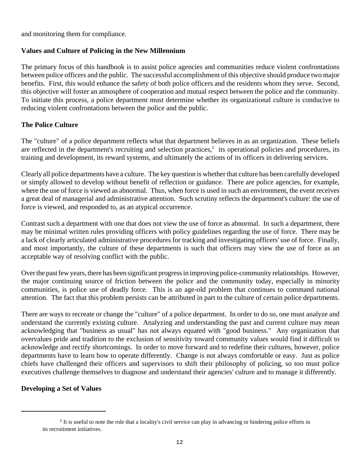and monitoring them for compliance.

# **Values and Culture of Policing in the New Millennium**

The primary focus of this handbook is to assist police agencies and communities reduce violent confrontations between police officers and the public. The successful accomplishment of this objective should produce two major benefits. First, this would enhance the safety of both police officers and the residents whom they serve. Second, this objective will foster an atmosphere of cooperation and mutual respect between the police and the community. To initiate this process, a police department must determine whether its organizational culture is conducive to reducing violent confrontations between the police and the public.

# **The Police Culture**

The "culture" of a police department reflects what that department believes in as an organization. These beliefs are reflected in the department's recruiting and selection practices, $\lambda$  its operational policies and procedures, its training and development, its reward systems, and ultimately the actions of its officers in delivering services.

Clearly all police departments have a culture. The key question is whether that culture has been carefully developed or simply allowed to develop without benefit of reflection or guidance. There are police agencies, for example, where the use of force is viewed as abnormal. Thus, when force is used in such an environment, the event receives a great deal of managerial and administrative attention. Such scrutiny reflects the department's culture: the use of force is viewed, and responded to, as an atypical occurrence.

Contrast such a department with one that does not view the use of force as abnormal. In such a department, there may be minimal written rules providing officers with policy guidelines regarding the use of force. There may be a lack of clearly articulated administrative procedures for tracking and investigating officers' use of force. Finally, and most importantly, the culture of these departments is such that officers may view the use of force as an acceptable way of resolving conflict with the public.

Over the past few years, there has been significant progress in improving police-community relationships. However, the major continuing source of friction between the police and the community today, especially in minority communities, is police use of deadly force. This is an age-old problem that continues to command national attention. The fact that this problem persists can be attributed in part to the culture of certain police departments.

There are ways to recreate or change the "culture" of a police department. In order to do so, one must analyze and understand the currently existing culture. Analyzing and understanding the past and current culture may mean acknowledging that "business as usual" has not always equated with "good business." Any organization that overvalues pride and tradition to the exclusion of sensitivity toward community values would find it difficult to acknowledge and rectify shortcomings. In order to move forward and to redefine their cultures, however, police departments have to learn how to operate differently. Change is not always comfortable or easy. Just as police chiefs have challenged their officers and supervisors to shift their philosophy of policing, so too must police executives challenge themselves to diagnose and understand their agencies' culture and to manage it differently.

# **Developing a Set of Values**

<sup>&</sup>lt;sup>2</sup> It is useful to note the role that a locality's civil service can play in advancing or hindering police efforts in its recruitment initiatives.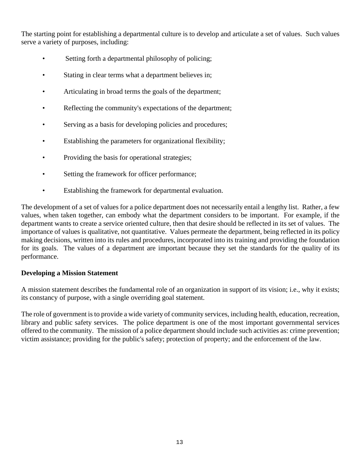The starting point for establishing a departmental culture is to develop and articulate a set of values. Such values serve a variety of purposes, including:

- Setting forth a departmental philosophy of policing;
- Stating in clear terms what a department believes in;
- Articulating in broad terms the goals of the department;
- Reflecting the community's expectations of the department;
- Serving as a basis for developing policies and procedures;
- Establishing the parameters for organizational flexibility;
- Providing the basis for operational strategies;
- Setting the framework for officer performance;
- Establishing the framework for departmental evaluation.

The development of a set of values for a police department does not necessarily entail a lengthy list. Rather, a few values, when taken together, can embody what the department considers to be important. For example, if the department wants to create a service oriented culture, then that desire should be reflected in its set of values. The importance of values is qualitative, not quantitative. Values permeate the department, being reflected in its policy making decisions, written into its rules and procedures, incorporated into its training and providing the foundation for its goals. The values of a department are important because they set the standards for the quality of its performance.

#### **Developing a Mission Statement**

A mission statement describes the fundamental role of an organization in support of its vision; i.e., why it exists; its constancy of purpose, with a single overriding goal statement.

The role of government is to provide a wide variety of community services, including health, education, recreation, library and public safety services. The police department is one of the most important governmental services offered to the community. The mission of a police department should include such activities as: crime prevention; victim assistance; providing for the public's safety; protection of property; and the enforcement of the law.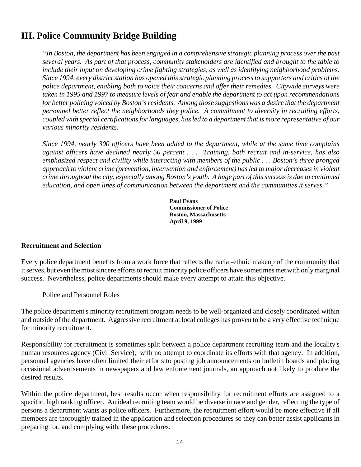# **III. Police Community Bridge Building**

*"In Boston, the department has been engaged in a comprehensive strategic planning process over the past several years. As part of that process, community stakeholders are identified and brought to the table to include their input on developing crime fighting strategies, as well as identifying neighborhood problems. Since 1994, every district station has opened this strategic planning process to supporters and critics of the police department, enabling both to voice their concerns and offer their remedies. Citywide surveys were taken in 1995 and 1997 to measure levels of fear and enable the department to act upon recommendations for better policing voiced by Boston's residents. Among those suggestions was a desire that the department personnel better reflect the neighborhoods they police. A commitment to diversity in recruiting efforts, coupled with special certificationsforlanguages, hasled to a department that is more representative of our various minority residents.* 

*Since 1994, nearly 300 officers have been added to the department, while at the same time complains against officers have declined nearly 50 percent . . . Training, both recruit and in-service, has also emphasized respect and civility while interacting with members of the public . . . Boston's three pronged approach to violent crime (prevention, intervention and enforcement) has led to major decreases in violent crime throughout the city, especially among Boston's youth. A huge part of this success is due to continued education, and open lines of communication between the department and the communities it serves."* 

> **Paul Evans Commissioner of Police Boston, Massachusetts April 9, 1999**

#### **Recruitment and Selection**

Every police department benefits from a work force that reflects the racial-ethnic makeup of the community that it serves, but even the most sincere efforts to recruit minority police officers have sometimes met with only marginal success. Nevertheless, police departments should make every attempt to attain this objective.

Police and Personnel Roles

The police department's minority recruitment program needs to be well-organized and closely coordinated within and outside of the department. Aggressive recruitment at local colleges has proven to be a very effective technique for minority recruitment.

Responsibility for recruitment is sometimes split between a police department recruiting team and the locality's human resources agency (Civil Service), with no attempt to coordinate its efforts with that agency. In addition, personnel agencies have often limited their efforts to posting job announcements on bulletin boards and placing occasional advertisements in newspapers and law enforcement journals, an approach not likely to produce the desired results.

Within the police department, best results occur when responsibility for recruitment efforts are assigned to a specific, high ranking officer. An ideal recruiting team would be diverse in race and gender, reflecting the type of persons a department wants as police officers. Furthermore, the recruitment effort would be more effective if all members are thoroughly trained in the application and selection procedures so they can better assist applicants in preparing for, and complying with, these procedures.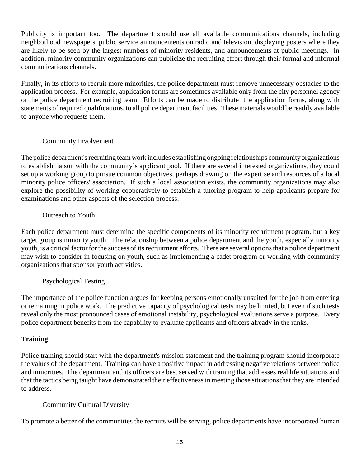Publicity is important too. The department should use all available communications channels, including neighborhood newspapers, public service announcements on radio and television, displaying posters where they are likely to be seen by the largest numbers of minority residents, and announcements at public meetings. In addition, minority community organizations can publicize the recruiting effort through their formal and informal communications channels.

Finally, in its efforts to recruit more minorities, the police department must remove unnecessary obstacles to the application process. For example, application forms are sometimes available only from the city personnel agency or the police department recruiting team. Efforts can be made to distribute the application forms, along with statements of required qualifications, to all police department facilities. These materials would be readily available to anyone who requests them.

# Community Involvement

The police department's recruiting team work includes establishing ongoing relationships community organizations to establish liaison with the community's applicant pool. If there are several interested organizations, they could set up a working group to pursue common objectives, perhaps drawing on the expertise and resources of a local minority police officers' association. If such a local association exists, the community organizations may also explore the possibility of working cooperatively to establish a tutoring program to help applicants prepare for examinations and other aspects of the selection process.

# Outreach to Youth

Each police department must determine the specific components of its minority recruitment program, but a key target group is minority youth. The relationship between a police department and the youth, especially minority youth, is a critical factor for the success of its recruitment efforts. There are several options that a police department may wish to consider in focusing on youth, such as implementing a cadet program or working with community organizations that sponsor youth activities.

# Psychological Testing

The importance of the police function argues for keeping persons emotionally unsuited for the job from entering or remaining in police work. The predictive capacity of psychological tests may be limited, but even if such tests reveal only the most pronounced cases of emotional instability, psychological evaluations serve a purpose. Every police department benefits from the capability to evaluate applicants and officers already in the ranks.

# **Training**

Police training should start with the department's mission statement and the training program should incorporate the values of the department. Training can have a positive impact in addressing negative relations between police and minorities. The department and its officers are best served with training that addresses real life situations and that the tactics being taught have demonstrated their effectiveness in meeting those situations that they are intended to address.

# Community Cultural Diversity

To promote a better of the communities the recruits will be serving, police departments have incorporated human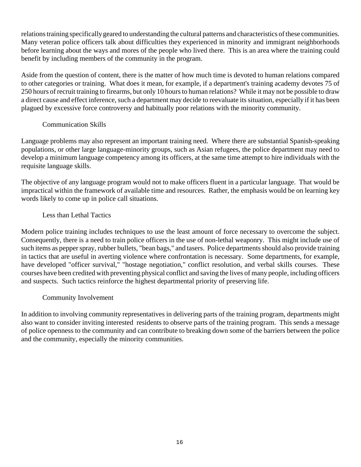relationstraining specificallygeared to understanding the cultural patterns and characteristics ofthese communities. Many veteran police officers talk about difficulties they experienced in minority and immigrant neighborhoods before learning about the ways and mores of the people who lived there. This is an area where the training could benefit by including members of the community in the program.

Aside from the question of content, there is the matter of how much time is devoted to human relations compared to other categories or training. What does it mean, for example, if a department's training academy devotes 75 of 250 hours of recruit training to firearms, but only 10 hours to human relations? While it may not be possible to draw a direct cause and effect inference, such a department may decide to reevaluate its situation, especially if it has been plagued by excessive force controversy and habitually poor relations with the minority community.

# Communication Skills

Language problems may also represent an important training need. Where there are substantial Spanish-speaking populations, or other large language-minority groups, such as Asian refugees, the police department may need to develop a minimum language competency among its officers, at the same time attempt to hire individuals with the requisite language skills.

The objective of any language program would not to make officers fluent in a particular language. That would be impractical within the framework of available time and resources. Rather, the emphasis would be on learning key words likely to come up in police call situations.

# Less than Lethal Tactics

Modern police training includes techniques to use the least amount of force necessary to overcome the subject. Consequently, there is a need to train police officers in the use of non-lethal weaponry. This might include use of such items as pepper spray, rubber bullets, "bean bags," and tasers. Police departments should also provide training in tactics that are useful in averting violence where confrontation is necessary. Some departments, for example, have developed "officer survival," "hostage negotiation," conflict resolution, and verbal skills courses. These courses have been credited with preventing physical conflict and saving the lives of many people, including officers and suspects. Such tactics reinforce the highest departmental priority of preserving life.

# Community Involvement

In addition to involving community representatives in delivering parts of the training program, departments might also want to consider inviting interested residents to observe parts of the training program. This sends a message of police openness to the community and can contribute to breaking down some of the barriers between the police and the community, especially the minority communities.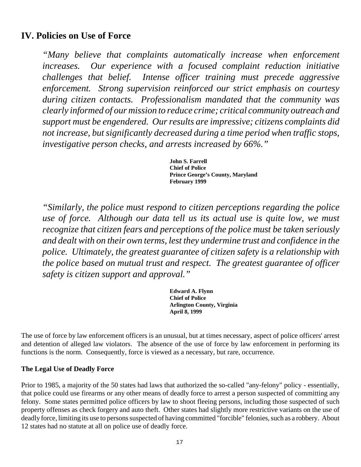# **IV. Policies on Use of Force**

*"Many believe that complaints automatically increase when enforcement increases. Our experience with a focused complaint reduction initiative challenges that belief. Intense officer training must precede aggressive enforcement. Strong supervision reinforced our strict emphasis on courtesy during citizen contacts. Professionalism mandated that the community was clearly informed of our mission to reduce crime; critical community outreach and support must be engendered. Our results are impressive; citizens complaints did not increase, but significantly decreased during a time period when traffic stops, investigative person checks, and arrests increased by 66%."* 

> **John S. Farrell Chief of Police Prince George's County, Maryland February 1999**

*"Similarly, the police must respond to citizen perceptions regarding the police use of force. Although our data tell us its actual use is quite low, we must recognize that citizen fears and perceptions of the police must be taken seriously and dealt with on their own terms, lest they undermine trust and confidence in the police. Ultimately, the greatest guarantee of citizen safety is a relationship with the police based on mutual trust and respect. The greatest guarantee of officer safety is citizen support and approval."* 

> **Edward A. Flynn Chief of Police Arlington County, Virginia April 8, 1999**

The use of force by law enforcement officers is an unusual, but at times necessary, aspect of police officers' arrest and detention of alleged law violators. The absence of the use of force by law enforcement in performing its functions is the norm. Consequently, force is viewed as a necessary, but rare, occurrence.

# **The Legal Use of Deadly Force**

Prior to 1985, a majority of the 50 states had laws that authorized the so-called "any-felony" policy - essentially, that police could use firearms or any other means of deadly force to arrest a person suspected of committing any felony. Some states permitted police officers by law to shoot fleeing persons, including those suspected of such property offenses as check forgery and auto theft. Other states had slightly more restrictive variants on the use of deadly force, limiting its use to persons suspected of having committed "forcible" felonies, such as a robbery. About 12 states had no statute at all on police use of deadly force.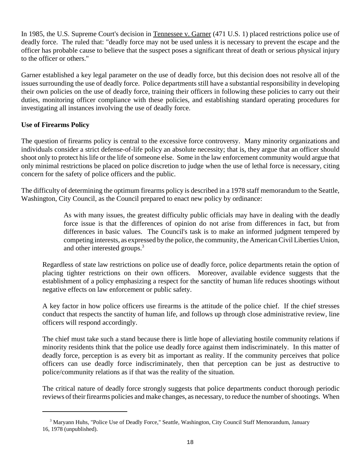In 1985, the U.S. Supreme Court's decision in Tennessee v. Garner (471 U.S. 1) placed restrictions police use of deadly force. The ruled that: "deadly force may not be used unless it is necessary to prevent the escape and the officer has probable cause to believe that the suspect poses a significant threat of death or serious physical injury to the officer or others."

Garner established a key legal parameter on the use of deadly force, but this decision does not resolve all of the issues surrounding the use of deadly force. Police departments still have a substantial responsibility in developing their own policies on the use of deadly force, training their officers in following these policies to carry out their duties, monitoring officer compliance with these policies, and establishing standard operating procedures for investigating all instances involving the use of deadly force.

# **Use of Firearms Policy**

The question of firearms policy is central to the excessive force controversy. Many minority organizations and individuals consider a strict defense-of-life policy an absolute necessity; that is, they argue that an officer should shoot only to protect his life or the life of someone else. Some in the law enforcement community would argue that only minimal restrictions be placed on police discretion to judge when the use of lethal force is necessary, citing concern for the safety of police officers and the public.

The difficulty of determining the optimum firearms policy is described in a 1978 staff memorandum to the Seattle, Washington, City Council, as the Council prepared to enact new policy by ordinance:

> As with many issues, the greatest difficulty public officials may have in dealing with the deadly force issue is that the differences of opinion do not arise from differences in fact, but from differences in basic values. The Council's task is to make an informed judgment tempered by competing interests, as expressed by the police, the community, the American Civil Liberties Union, and other interested groups.<sup>3</sup>

Regardless of state law restrictions on police use of deadly force, police departments retain the option of placing tighter restrictions on their own officers. Moreover, available evidence suggests that the establishment of a policy emphasizing a respect for the sanctity of human life reduces shootings without negative effects on law enforcement or public safety.

A key factor in how police officers use firearms is the attitude of the police chief. If the chief stresses conduct that respects the sanctity of human life, and follows up through close administrative review, line officers will respond accordingly.

The chief must take such a stand because there is little hope of alleviating hostile community relations if minority residents think that the police use deadly force against them indiscriminately. In this matter of deadly force, perception is as every bit as important as reality. If the community perceives that police officers can use deadly force indiscriminately, then that perception can be just as destructive to police/community relations as if that was the reality of the situation.

The critical nature of deadly force strongly suggests that police departments conduct thorough periodic reviews of their firearms policies and make changes, as necessary, to reduce the number of shootings. When

<sup>&</sup>lt;sup>3</sup> Maryann Huhs, "Police Use of Deadly Force," Seattle, Washington, City Council Staff Memorandum, January 16, 1978 (unpublished).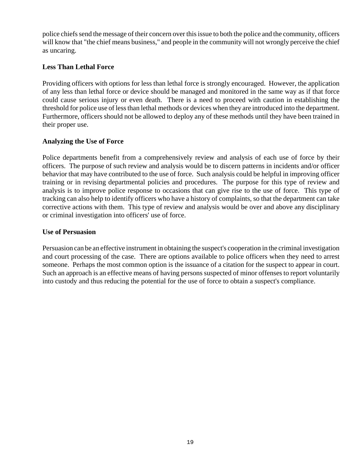police chiefs send the message of their concern over this issue to both the police and the community, officers will know that "the chief means business," and people in the community will not wrongly perceive the chief as uncaring.

## **Less Than Lethal Force**

Providing officers with options for less than lethal force is strongly encouraged. However, the application of any less than lethal force or device should be managed and monitored in the same way as if that force could cause serious injury or even death. There is a need to proceed with caution in establishing the threshold for police use of less than lethal methods or devices when they are introduced into the department. Furthermore, officers should not be allowed to deploy any of these methods until they have been trained in their proper use.

# **Analyzing the Use of Force**

Police departments benefit from a comprehensively review and analysis of each use of force by their officers. The purpose of such review and analysis would be to discern patterns in incidents and/or officer behavior that may have contributed to the use of force. Such analysis could be helpful in improving officer training or in revising departmental policies and procedures. The purpose for this type of review and analysis is to improve police response to occasions that can give rise to the use of force. This type of tracking can also help to identify officers who have a history of complaints, so that the department can take corrective actions with them. This type of review and analysis would be over and above any disciplinary or criminal investigation into officers' use of force.

# **Use of Persuasion**

Persuasion can be an effective instrument in obtaining the suspect's cooperation in the criminal investigation and court processing of the case. There are options available to police officers when they need to arrest someone. Perhaps the most common option is the issuance of a citation for the suspect to appear in court. Such an approach is an effective means of having persons suspected of minor offenses to report voluntarily into custody and thus reducing the potential for the use of force to obtain a suspect's compliance.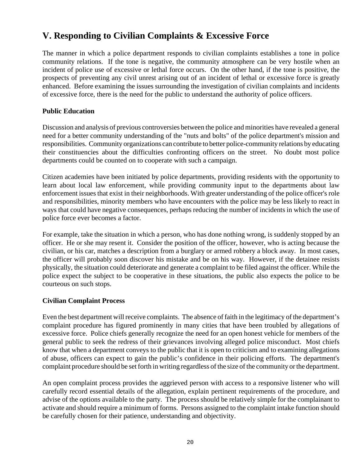# **V. Responding to Civilian Complaints & Excessive Force**

The manner in which a police department responds to civilian complaints establishes a tone in police community relations. If the tone is negative, the community atmosphere can be very hostile when an incident of police use of excessive or lethal force occurs. On the other hand, if the tone is positive, the prospects of preventing any civil unrest arising out of an incident of lethal or excessive force is greatly enhanced. Before examining the issues surrounding the investigation of civilian complaints and incidents of excessive force, there is the need for the public to understand the authority of police officers.

# **Public Education**

Discussion and analysis of previous controversies between the police and minorities have revealed a general need for a better community understanding of the "nuts and bolts" of the police department's mission and responsibilities. Community organizations can contribute to better police-community relations by educating their constituencies about the difficulties confronting officers on the street. No doubt most police departments could be counted on to cooperate with such a campaign.

Citizen academies have been initiated by police departments, providing residents with the opportunity to learn about local law enforcement, while providing community input to the departments about law enforcement issues that exist in their neighborhoods. With greater understanding of the police officer's role and responsibilities, minority members who have encounters with the police may be less likely to react in ways that could have negative consequences, perhaps reducing the number of incidents in which the use of police force ever becomes a factor.

For example, take the situation in which a person, who has done nothing wrong, is suddenly stopped by an officer. He or she may resent it. Consider the position of the officer, however, who is acting because the civilian, or his car, matches a description from a burglary or armed robbery a block away. In most cases, the officer will probably soon discover his mistake and be on his way. However, if the detainee resists physically, the situation could deteriorate and generate a complaint to be filed against the officer. While the police expect the subject to be cooperative in these situations, the public also expects the police to be courteous on such stops.

# **Civilian Complaint Process**

Even the best department will receive complaints. The absence of faith in the legitimacy of the department's complaint procedure has figured prominently in many cities that have been troubled by allegations of excessive force. Police chiefs generally recognize the need for an open honest vehicle for members of the general public to seek the redress of their grievances involving alleged police misconduct. Most chiefs know that when a department conveys to the public that it is open to criticism and to examining allegations of abuse, officers can expect to gain the public's confidence in their policing efforts. The department's complaint procedure should be set forth in writing regardless of the size of the community or the department.

An open complaint process provides the aggrieved person with access to a responsive listener who will carefully record essential details of the allegation, explain pertinent requirements of the procedure, and advise of the options available to the party. The process should be relatively simple for the complainant to activate and should require a minimum of forms. Persons assigned to the complaint intake function should be carefully chosen for their patience, understanding and objectivity.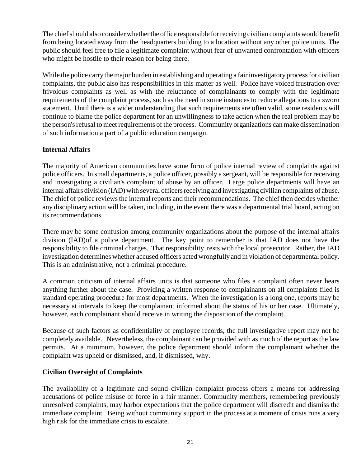The chiefshould also consider whether the office responsible for receiving civilian complaints would benefit from being located away from the headquarters building to a location without any other police units. The public should feel free to file a legitimate complaint without fear of unwanted confrontation with officers who might be hostile to their reason for being there.

While the police carry the major burden in establishing and operating a fair investigatory process for civilian complaints, the public also has responsibilities in this matter as well. Police have voiced frustration over frivolous complaints as well as with the reluctance of complainants to comply with the legitimate requirements of the complaint process, such as the need in some instances to reduce allegations to a sworn statement. Until there is a wider understanding that such requirements are often valid, some residents will continue to blame the police department for an unwillingness to take action when the real problem may be the person's refusal to meet requirements of the process. Community organizations can make dissemination of such information a part of a public education campaign.

# **Internal Affairs**

The majority of American communities have some form of police internal review of complaints against police officers. In small departments, a police officer, possibly a sergeant, will be responsible for receiving and investigating a civilian's complaint of abuse by an officer. Large police departments will have an internal affairs division (IAD) with several officers receiving and investigating civilian complaints of abuse. The chief of police reviews the internal reports and their recommendations. The chief then decides whether any disciplinary action will be taken, including, in the event there was a departmental trial board, acting on its recommendations.

There may be some confusion among community organizations about the purpose of the internal affairs division (IAD)of a police department. The key point to remember is that IAD does not have the responsibility to file criminal charges. That responsibility rests with the local prosecutor. Rather, the IAD investigation determines whether accused officers acted wrongfully and in violation of departmental policy. This is an administrative, not a criminal procedure.

A common criticism of internal affairs units is that someone who files a complaint often never hears anything further about the case. Providing a written response to complainants on all complaints filed is standard operating procedure for most departments. When the investigation is a long one, reports may be necessary at intervals to keep the complainant informed about the status of his or her case. Ultimately, however, each complainant should receive in writing the disposition of the complaint.

Because of such factors as confidentiality of employee records, the full investigative report may not be completely available. Nevertheless, the complainant can be provided with as much of the report as the law permits. At a minimum, however, the police department should inform the complainant whether the complaint was upheld or dismissed, and, if dismissed, why.

# **Civilian Oversight of Complaints**

The availability of a legitimate and sound civilian complaint process offers a means for addressing accusations of police misuse of force in a fair manner. Community members, remembering previously unresolved complaints, may harbor expectations that the police department will discredit and dismiss the immediate complaint. Being without community support in the process at a moment of crisis runs a very high risk for the immediate crisis to escalate.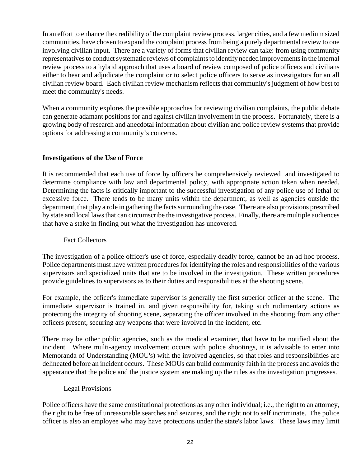In an effort to enhance the credibility of the complaint review process, larger cities, and a few medium sized communities, have chosen to expand the complaint process from being a purely departmental review to one involving civilian input. There are a variety of forms that civilian review can take: from using community representatives to conduct systematic reviews of complaints to identify needed improvements in the internal review process to a hybrid approach that uses a board of review composed of police officers and civilians either to hear and adjudicate the complaint or to select police officers to serve as investigators for an all civilian review board. Each civilian review mechanism reflects that community's judgment of how best to meet the community's needs.

When a community explores the possible approaches for reviewing civilian complaints, the public debate can generate adamant positions for and against civilian involvement in the process. Fortunately, there is a growing body of research and anecdotal information about civilian and police review systems that provide options for addressing a community's concerns.

### **Investigations of the Use of Force**

It is recommended that each use of force by officers be comprehensively reviewed and investigated to determine compliance with law and departmental policy, with appropriate action taken when needed. Determining the facts is critically important to the successful investigation of any police use of lethal or excessive force. There tends to be many units within the department, as well as agencies outside the department, that play a role in gathering the facts surrounding the case. There are also provisions prescribed by state and local laws that can circumscribe the investigative process. Finally, there are multiple audiences that have a stake in finding out what the investigation has uncovered.

#### Fact Collectors

The investigation of a police officer's use of force, especially deadly force, cannot be an ad hoc process. Police departments must have written procedures for identifying the roles and responsibilities of the various supervisors and specialized units that are to be involved in the investigation. These written procedures provide guidelines to supervisors as to their duties and responsibilities at the shooting scene.

For example, the officer's immediate supervisor is generally the first superior officer at the scene. The immediate supervisor is trained in, and given responsibility for, taking such rudimentary actions as protecting the integrity of shooting scene, separating the officer involved in the shooting from any other officers present, securing any weapons that were involved in the incident, etc.

There may be other public agencies, such as the medical examiner, that have to be notified about the incident. Where multi-agency involvement occurs with police shootings, it is advisable to enter into Memoranda of Understanding (MOU's) with the involved agencies, so that roles and responsibilities are delineated before an incident occurs. These MOUs can build community faith in the process and avoids the appearance that the police and the justice system are making up the rules as the investigation progresses.

#### Legal Provisions

Police officers have the same constitutional protections as any other individual; i.e., the right to an attorney, the right to be free of unreasonable searches and seizures, and the right not to self incriminate. The police officer is also an employee who may have protections under the state's labor laws. These laws may limit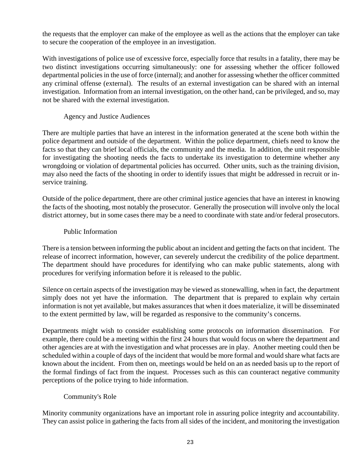the requests that the employer can make of the employee as well as the actions that the employer can take to secure the cooperation of the employee in an investigation.

With investigations of police use of excessive force, especially force that results in a fatality, there may be two distinct investigations occurring simultaneously: one for assessing whether the officer followed departmental policies in the use of force (internal); and another for assessing whether the officer committed any criminal offense (external). The results of an external investigation can be shared with an internal investigation. Information from an internal investigation, on the other hand, can be privileged, and so, may not be shared with the external investigation.

## Agency and Justice Audiences

There are multiple parties that have an interest in the information generated at the scene both within the police department and outside of the department. Within the police department, chiefs need to know the facts so that they can brief local officials, the community and the media. In addition, the unit responsible for investigating the shooting needs the facts to undertake its investigation to determine whether any wrongdoing or violation of departmental policies has occurred. Other units, such as the training division, may also need the facts of the shooting in order to identify issues that might be addressed in recruit or inservice training.

Outside of the police department, there are other criminal justice agencies that have an interest in knowing the facts of the shooting, most notably the prosecutor. Generally the prosecution will involve only the local district attorney, but in some cases there may be a need to coordinate with state and/or federal prosecutors.

## Public Information

There is a tension between informing the public about an incident and getting the facts on that incident. The release of incorrect information, however, can severely undercut the credibility of the police department. The department should have procedures for identifying who can make public statements, along with procedures for verifying information before it is released to the public.

Silence on certain aspects of the investigation may be viewed as stonewalling, when in fact, the department simply does not yet have the information. The department that is prepared to explain why certain information is not yet available, but makes assurances that when it does materialize, it will be disseminated to the extent permitted by law, will be regarded as responsive to the community's concerns.

Departments might wish to consider establishing some protocols on information dissemination. For example, there could be a meeting within the first 24 hours that would focus on where the department and other agencies are at with the investigation and what processes are in play. Another meeting could then be scheduled within a couple of days of the incident that would be more formal and would share what facts are known about the incident. From then on, meetings would be held on an as needed basis up to the report of the formal findings of fact from the inquest. Processes such as this can counteract negative community perceptions of the police trying to hide information.

#### Community's Role

Minority community organizations have an important role in assuring police integrity and accountability. They can assist police in gathering the facts from all sides of the incident, and monitoring the investigation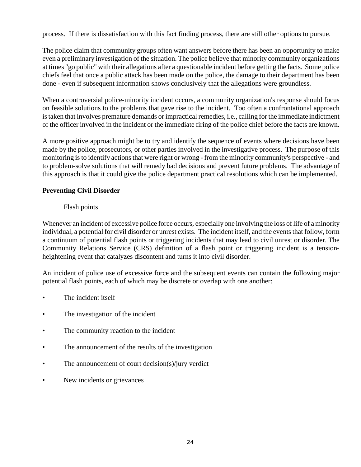process. If there is dissatisfaction with this fact finding process, there are still other options to pursue.

The police claim that community groups often want answers before there has been an opportunity to make even a preliminary investigation of the situation. The police believe that minority community organizations at times "go public" with their allegations after a questionable incident before getting the facts. Some police chiefs feel that once a public attack has been made on the police, the damage to their department has been done - even if subsequent information shows conclusively that the allegations were groundless.

When a controversial police-minority incident occurs, a community organization's response should focus on feasible solutions to the problems that gave rise to the incident. Too often a confrontational approach is taken that involves premature demands or impractical remedies, i.e., calling for the immediate indictment of the officer involved in the incident or the immediate firing of the police chief before the facts are known.

A more positive approach might be to try and identify the sequence of events where decisions have been made by the police, prosecutors, or other parties involved in the investigative process. The purpose of this monitoring is to identify actions that were right or wrong - from the minority community's perspective - and to problem-solve solutions that will remedy bad decisions and prevent future problems. The advantage of this approach is that it could give the police department practical resolutions which can be implemented.

### **Preventing Civil Disorder**

### Flash points

Whenever an incident of excessive police force occurs, especially one involving the loss of life of a minority individual, a potential for civil disorder or unrest exists. The incident itself, and the events that follow, form a continuum of potential flash points or triggering incidents that may lead to civil unrest or disorder. The Community Relations Service (CRS) definition of a flash point or triggering incident is a tensionheightening event that catalyzes discontent and turns it into civil disorder.

An incident of police use of excessive force and the subsequent events can contain the following major potential flash points, each of which may be discrete or overlap with one another:

- The incident itself
- The investigation of the incident
- The community reaction to the incident
- The announcement of the results of the investigation
- The announcement of court decision(s)/jury verdict
- New incidents or grievances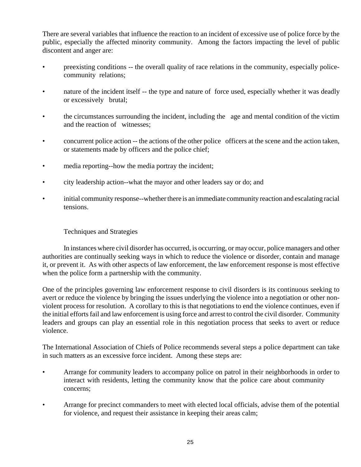There are several variables that influence the reaction to an incident of excessive use of police force by the public, especially the affected minority community. Among the factors impacting the level of public discontent and anger are:

- preexisting conditions -- the overall quality of race relations in the community, especially policecommunity relations;
- nature of the incident itself -- the type and nature of force used, especially whether it was deadly or excessively brutal;
- the circumstances surrounding the incident, including the age and mental condition of the victim and the reaction of witnesses;
- concurrent police action -- the actions of the other police officers at the scene and the action taken, or statements made by officers and the police chief;
- media reporting--how the media portray the incident;
- city leadership action--what the mayor and other leaders say or do; and
- initial community response--whether there is an immediate community reaction and escalating racial tensions.

## Techniques and Strategies

In instances where civil disorder has occurred, is occurring, or may occur, police managers and other authorities are continually seeking ways in which to reduce the violence or disorder, contain and manage it, or prevent it. As with other aspects of law enforcement, the law enforcement response is most effective when the police form a partnership with the community.

One of the principles governing law enforcement response to civil disorders is its continuous seeking to avert or reduce the violence by bringing the issues underlying the violence into a negotiation or other nonviolent process for resolution. A corollary to this is that negotiations to end the violence continues, even if the initial efforts fail and law enforcement is using force and arrest to control the civil disorder. Community leaders and groups can play an essential role in this negotiation process that seeks to avert or reduce violence.

The International Association of Chiefs of Police recommends several steps a police department can take in such matters as an excessive force incident. Among these steps are:

- Arrange for community leaders to accompany police on patrol in their neighborhoods in order to interact with residents, letting the community know that the police care about community concerns;
- Arrange for precinct commanders to meet with elected local officials, advise them of the potential for violence, and request their assistance in keeping their areas calm;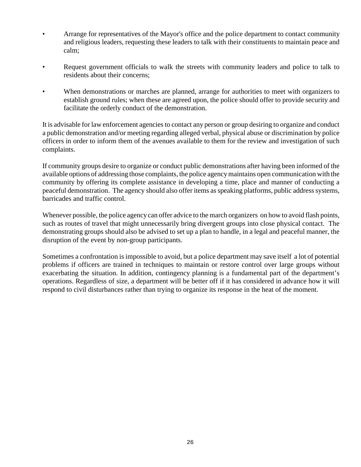- Arrange for representatives of the Mayor's office and the police department to contact community and religious leaders, requesting these leaders to talk with their constituents to maintain peace and calm;
- Request government officials to walk the streets with community leaders and police to talk to residents about their concerns;
- When demonstrations or marches are planned, arrange for authorities to meet with organizers to establish ground rules; when these are agreed upon, the police should offer to provide security and facilitate the orderly conduct of the demonstration.

It is advisable for law enforcement agencies to contact any person or group desiring to organize and conduct a public demonstration and/or meeting regarding alleged verbal, physical abuse or discrimination by police officers in order to inform them of the avenues available to them for the review and investigation of such complaints.

If community groups desire to organize or conduct public demonstrations after having been informed of the available options of addressing those complaints, the police agencymaintains open communication with the community by offering its complete assistance in developing a time, place and manner of conducting a peaceful demonstration. The agency should also offer items as speaking platforms, public address systems, barricades and traffic control.

Whenever possible, the police agency can offer advice to the march organizers on how to avoid flash points, such as routes of travel that might unnecessarily bring divergent groups into close physical contact. The demonstrating groups should also be advised to set up a plan to handle, in a legal and peaceful manner, the disruption of the event by non-group participants.

Sometimes a confrontation is impossible to avoid, but a police department may save itself a lot of potential problems if officers are trained in techniques to maintain or restore control over large groups without exacerbating the situation. In addition, contingency planning is a fundamental part of the department's operations. Regardless of size, a department will be better off if it has considered in advance how it will respond to civil disturbances rather than trying to organize its response in the heat of the moment.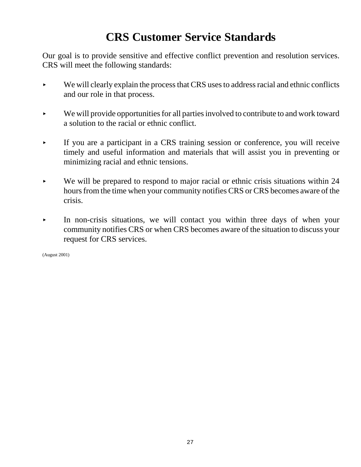# **CRS Customer Service Standards**

Our goal is to provide sensitive and effective conflict prevention and resolution services. CRS will meet the following standards:

- We will clearly explain the process that CRS uses to address racial and ethnic conflicts and our role in that process.
- We will provide opportunities for all parties involved to contribute to and work toward a solution to the racial or ethnic conflict.
- < If you are a participant in a CRS training session or conference, you will receive timely and useful information and materials that will assist you in preventing or minimizing racial and ethnic tensions.
- $\blacktriangleright$  We will be prepared to respond to major racial or ethnic crisis situations within 24 hours from the time when your community notifies CRS or CRS becomes aware of the crisis.
- $\blacktriangleright$  In non-crisis situations, we will contact you within three days of when your community notifies CRS or when CRS becomes aware of the situation to discuss your request for CRS services.

(August 2001)